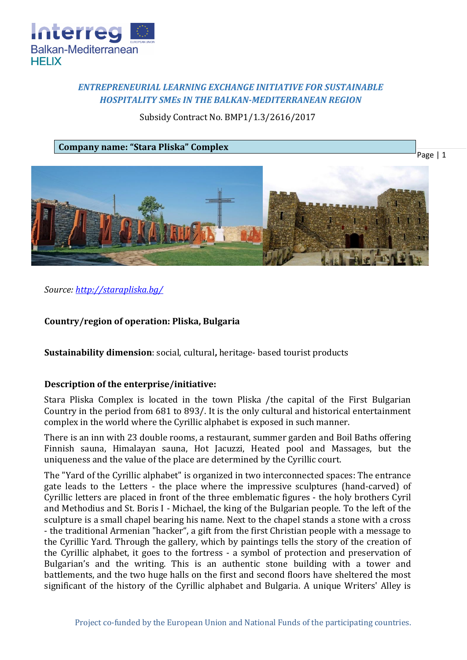

# *ENTREPRENEURIAL LEARNING EXCHANGE INITIATIVE FOR SUSTAINABLE HOSPITALITY SMEs IN THE BALKAN-MEDITERRANEAN REGION*

## Subsidy Contract No. BMP1/1.3/2616/2017

**Company name: "Stara Pliska" Complex**



*Source:<http://starapliska.bg/>*

## **Country/region of operation: Pliska, Bulgaria**

**Sustainability dimension**: social, cultural**,** heritage- based tourist products

## **Description of the enterprise/initiative:**

Stara Pliska Complex is located in the town Pliska /the capital of the First Bulgarian Country in the period from 681 to 893/. It is the only cultural and historical entertainment complex in the world where the Cyrillic alphabet is exposed in such manner.

There is an inn with 23 double rooms, a restaurant, summer garden and Boil Baths offering Finnish sauna, Himalayan sauna, Hot Jacuzzi, Heated pool and Massages, but the uniqueness and the value of the place are determined by the Cyrillic court.

The "Yard of the Cyrillic alphabet" is organized in two interconnected spaces: The entrance gate leads to the Letters - the place where the impressive sculptures (hand-carved) of Cyrillic letters are placed in front of the three emblematic figures - the holy brothers Cyril and Methodius and St. Boris I - Michael, the king of the Bulgarian people. To the left of the sculpture is a small chapel bearing his name. Next to the chapel stands a stone with a cross - the traditional Armenian "hacker", a gift from the first Christian people with a message to the Cyrillic Yard. Through the gallery, which by paintings tells the story of the creation of the Cyrillic alphabet, it goes to the fortress - a symbol of protection and preservation of Bulgarian's and the writing. This is an authentic stone building with a tower and battlements, and the two huge halls on the first and second floors have sheltered the most significant of the history of the Cyrillic alphabet and Bulgaria. A unique Writers' Alley is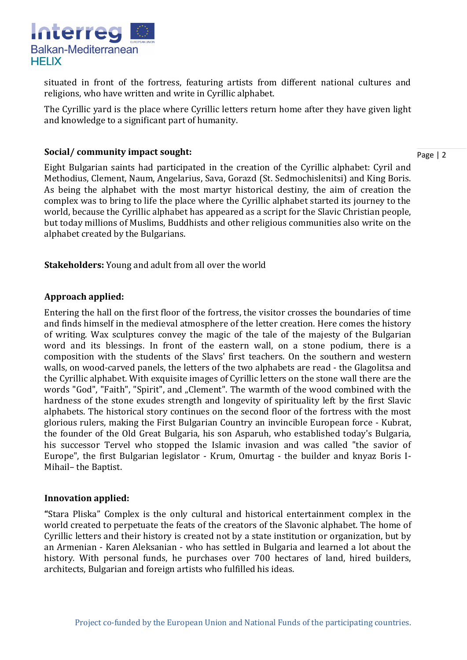

situated in front of the fortress, featuring artists from different national cultures and religions, who have written and write in Cyrillic alphabet.

The Cyrillic yard is the place where Cyrillic letters return home after they have given light and knowledge to a significant part of humanity.

### **Social/ community impact sought:**

Page | 2

Eight Bulgarian saints had participated in the creation of the Cyrillic alphabet: Cyril and Methodius, Clement, Naum, Angelarius, Sava, Gorazd (St. Sedmochislenitsi) and King Boris. As being the alphabet with the most martyr historical destiny, the aim of creation the complex was to bring to life the place where the Cyrillic alphabet started its journey to the world, because the Cyrillic alphabet has appeared as a script for the Slavic Christian people, but today millions of Muslims, Buddhists and other religious communities also write on the alphabet created by the Bulgarians.

**Stakeholders:** Young and adult from all over the world

## **Approach applied:**

Entering the hall on the first floor of the fortress, the visitor crosses the boundaries of time and finds himself in the medieval atmosphere of the letter creation. Here comes the history of writing. Wax sculptures convey the magic of the tale of the majesty of the Bulgarian word and its blessings. In front of the eastern wall, on a stone podium, there is a composition with the students of the Slavs' first teachers. On the southern and western walls, on wood-carved panels, the letters of the two alphabets are read - the Glagolitsa and the Cyrillic alphabet. With exquisite images of Cyrillic letters on the stone wall there are the words "God", "Faith", "Spirit", and "Clement". The warmth of the wood combined with the hardness of the stone exudes strength and longevity of spirituality left by the first Slavic alphabets. The historical story continues on the second floor of the fortress with the most glorious rulers, making the First Bulgarian Country an invincible European force - Kubrat, the founder of the Old Great Bulgaria, his son Asparuh, who established today's Bulgaria, his successor Tervel who stopped the Islamic invasion and was called "the savior of Europe", the first Bulgarian legislator - Krum, Omurtag - the builder and knyaz Boris I-Mihail– the Baptist.

## **Innovation applied:**

**"**Stara Pliska" Complex is the only cultural and historical entertainment complex in the world created to perpetuate the feats of the creators of the Slavonic alphabet. The home of Cyrillic letters and their history is created not by a state institution or organization, but by an Armenian - Karen Aleksanian - who has settled in Bulgaria and learned a lot about the history. With personal funds, he purchases over 700 hectares of land, hired builders, architects, Bulgarian and foreign artists who fulfilled his ideas.